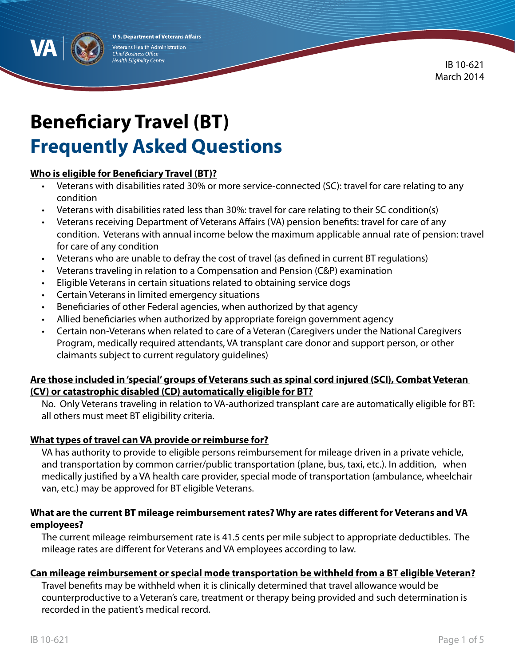**U.S. Department of Veterans Affairs** Veterans Health Administration **Chief Business Office** Health Eligibility Center

IB 10-621 March 2014

# **Beneficiary Travel (BT) Frequently Asked Questions**

## **Who is eligible for Beneficiary Travel (BT)?**

- Veterans with disabilities rated 30% or more service-connected (SC): travel for care relating to any condition
- Veterans with disabilities rated less than 30%: travel for care relating to their SC condition(s)
- Veterans receiving Department of Veterans Affairs (VA) pension benefits: travel for care of any condition. Veterans with annual income below the maximum applicable annual rate of pension: travel for care of any condition
- Veterans who are unable to defray the cost of travel (as defined in current BT regulations)
- Veterans traveling in relation to a Compensation and Pension (C&P) examination
- Eligible Veterans in certain situations related to obtaining service dogs
- Certain Veterans in limited emergency situations
- Beneficiaries of other Federal agencies, when authorized by that agency
- Allied beneficiaries when authorized by appropriate foreign government agency
- Certain non-Veterans when related to care of a Veteran (Caregivers under the National Caregivers Program, medically required attendants, VA transplant care donor and support person, or other claimants subject to current regulatory guidelines)

## **Are those included in 'special' groups of Veterans such as spinal cord injured (SCI), Combat Veteran (CV) or catastrophic disabled (CD) automatically eligible for BT?**

No. Only Veterans traveling in relation to VA-authorized transplant care are automatically eligible for BT: all others must meet BT eligibility criteria.

#### **What types of travel can VA provide or reimburse for?**

VA has authority to provide to eligible persons reimbursement for mileage driven in a private vehicle, and transportation by common carrier/public transportation (plane, bus, taxi, etc.). In addition, when medically justified by a VA health care provider, special mode of transportation (ambulance, wheelchair van, etc.) may be approved for BT eligible Veterans.

## **What are the current BT mileage reimbursement rates? Why are rates different for Veterans and VA employees?**

The current mileage reimbursement rate is 41.5 cents per mile subject to appropriate deductibles. The mileage rates are different for Veterans and VA employees according to law.

#### **Can mileage reimbursement or special mode transportation be withheld from a BT eligible Veteran?**

Travel benefits may be withheld when it is clinically determined that travel allowance would be counterproductive to a Veteran's care, treatment or therapy being provided and such determination is recorded in the patient's medical record.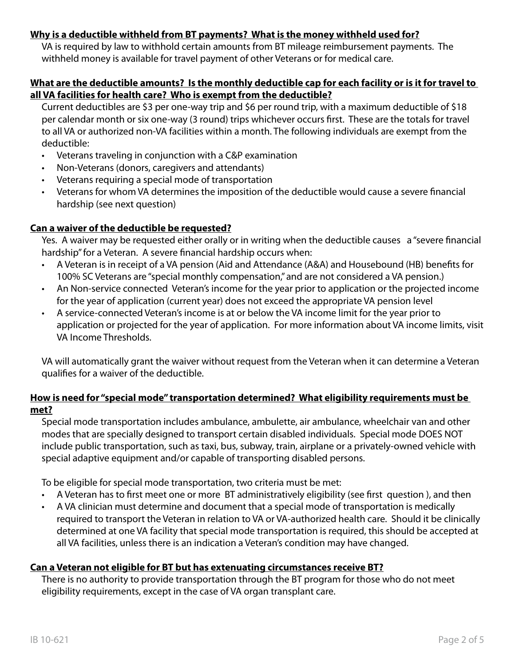## **Why is a deductible withheld from BT payments? What is the money withheld used for?**

VA is required by law to withhold certain amounts from BT mileage reimbursement payments. The withheld money is available for travel payment of other Veterans or for medical care.

#### **What are the deductible amounts? Is the monthly deductible cap for each facility or is it for travel to all VA facilities for health care? Who is exempt from the deductible?**

Current deductibles are \$3 per one-way trip and \$6 per round trip, with a maximum deductible of \$18 per calendar month or six one-way (3 round) trips whichever occurs first. These are the totals for travel to all VA or authorized non-VA facilities within a month. The following individuals are exempt from the deductible:

- • Veterans traveling in conjunction with a C&P examination
- Non-Veterans (donors, caregivers and attendants)
- Veterans requiring a special mode of transportation
- • Veterans for whom VA determines the imposition of the deductible would cause a severe financial hardship (see next question)

## **Can a waiver of the deductible be requested?**

Yes. A waiver may be requested either orally or in writing when the deductible causes a "severe financial hardship" for a Veteran. A severe financial hardship occurs when:

- • A Veteran is in receipt of a VA pension (Aid and Attendance (A&A) and Housebound (HB) benefits for 100% SC Veterans are "special monthly compensation," and are not considered a VA pension.)
- • An Non-service connected Veteran's income for the year prior to application or the projected income for the year of application (current year) does not exceed the appropriate VA pension level
- • A service-connected Veteran's income is at or below the VA income limit for the year prior to application or projected for the year of application. For more information about VA income limits, visit VA Income Thresholds.

VA will automatically grant the waiver without request from the Veteran when it can determine a Veteran qualifies for a waiver of the deductible.

## **How is need for "special mode" transportation determined? What eligibility requirements must be met?**

Special mode transportation includes ambulance, ambulette, air ambulance, wheelchair van and other modes that are specially designed to transport certain disabled individuals. Special mode DOES NOT include public transportation, such as taxi, bus, subway, train, airplane or a privately-owned vehicle with special adaptive equipment and/or capable of transporting disabled persons.

To be eligible for special mode transportation, two criteria must be met:

- A Veteran has to first meet one or more BT administratively eligibility (see first question), and then
- A VA clinician must determine and document that a special mode of transportation is medically required to transport the Veteran in relation to VA or VA-authorized health care. Should it be clinically determined at one VA facility that special mode transportation is required, this should be accepted at all VA facilities, unless there is an indication a Veteran's condition may have changed.

## **Can a Veteran not eligible for BT but has extenuating circumstances receive BT?**

There is no authority to provide transportation through the BT program for those who do not meet eligibility requirements, except in the case of VA organ transplant care.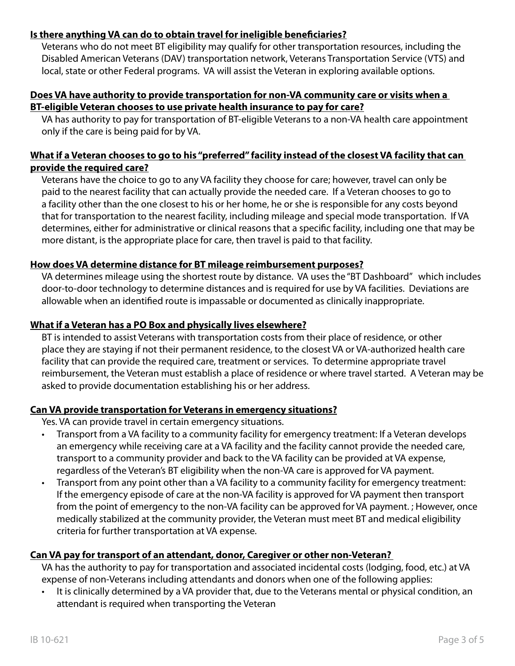## **Is there anything VA can do to obtain travel for ineligible beneficiaries?**

Veterans who do not meet BT eligibility may qualify for other transportation resources, including the Disabled American Veterans (DAV) transportation network, Veterans Transportation Service (VTS) and local, state or other Federal programs. VA will assist the Veteran in exploring available options.

#### **Does VA have authority to provide transportation for non-VA community care or visits when a BT-eligible Veteran chooses to use private health insurance to pay for care?**

VA has authority to pay for transportation of BT-eligible Veterans to a non-VA health care appointment only if the care is being paid for by VA.

## **What if a Veteran chooses to go to his "preferred" facility instead of the closest VA facility that can provide the required care?**

Veterans have the choice to go to any VA facility they choose for care; however, travel can only be paid to the nearest facility that can actually provide the needed care. If a Veteran chooses to go to a facility other than the one closest to his or her home, he or she is responsible for any costs beyond that for transportation to the nearest facility, including mileage and special mode transportation. If VA determines, either for administrative or clinical reasons that a specific facility, including one that may be more distant, is the appropriate place for care, then travel is paid to that facility.

## **How does VA determine distance for BT mileage reimbursement purposes?**

VA determines mileage using the shortest route by distance. VA uses the "BT Dashboard" which includes door-to-door technology to determine distances and is required for use by VA facilities. Deviations are allowable when an identified route is impassable or documented as clinically inappropriate.

## **What if a Veteran has a PO Box and physically lives elsewhere?**

BT is intended to assist Veterans with transportation costs from their place of residence, or other place they are staying if not their permanent residence, to the closest VA or VA-authorized health care facility that can provide the required care, treatment or services. To determine appropriate travel reimbursement, the Veteran must establish a place of residence or where travel started. A Veteran may be asked to provide documentation establishing his or her address.

#### **Can VA provide transportation for Veterans in emergency situations?**

Yes. VA can provide travel in certain emergency situations.

- Transport from a VA facility to a community facility for emergency treatment: If a Veteran develops an emergency while receiving care at a VA facility and the facility cannot provide the needed care, transport to a community provider and back to the VA facility can be provided at VA expense, regardless of the Veteran's BT eligibility when the non-VA care is approved for VA payment.
- Transport from any point other than a VA facility to a community facility for emergency treatment: If the emergency episode of care at the non-VA facility is approved for VA payment then transport from the point of emergency to the non-VA facility can be approved for VA payment. ; However, once medically stabilized at the community provider, the Veteran must meet BT and medical eligibility criteria for further transportation at VA expense.

## **Can VA pay for transport of an attendant, donor, Caregiver or other non-Veteran?**

VA has the authority to pay for transportation and associated incidental costs (lodging, food, etc.) at VA expense of non-Veterans including attendants and donors when one of the following applies:

• It is clinically determined by a VA provider that, due to the Veterans mental or physical condition, an attendant is required when transporting the Veteran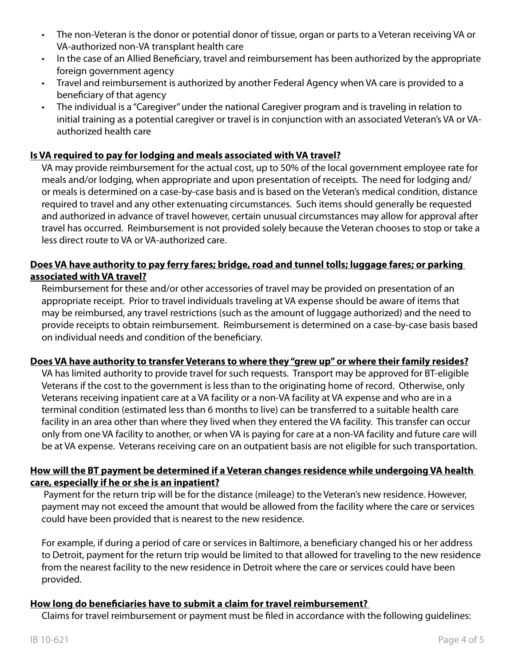- The non-Veteran is the donor or potential donor of tissue, organ or parts to a Veteran receiving VA or VA-authorized non-VA transplant health care
- In the case of an Allied Beneficiary, travel and reimbursement has been authorized by the appropriate foreign government agency
- Travel and reimbursement is authorized by another Federal Agency when VA care is provided to a beneficiary of that agency
- The individual is a "Caregiver" under the national Caregiver program and is traveling in relation to initial training as a potential caregiver or travel is in conjunction with an associated Veteran's VA or VAauthorized health care

## **Is VA required to pay for lodging and meals associated with VA travel?**

VA may provide reimbursement for the actual cost, up to 50% of the local government employee rate for meals and/or lodging, when appropriate and upon presentation of receipts. The need for lodging and/ or meals is determined on a case-by-case basis and is based on the Veteran's medical condition, distance required to travel and any other extenuating circumstances. Such items should generally be requested and authorized in advance of travel however, certain unusual circumstances may allow for approval after travel has occurred. Reimbursement is not provided solely because the Veteran chooses to stop or take a less direct route to VA or VA-authorized care.

## **Does VA have authority to pay ferry fares; bridge, road and tunnel tolls; luggage fares; or parking associated with VA travel?**

Reimbursement for these and/or other accessories of travel may be provided on presentation of an appropriate receipt. Prior to travel individuals traveling at VA expense should be aware of items that may be reimbursed, any travel restrictions (such as the amount of luggage authorized) and the need to provide receipts to obtain reimbursement. Reimbursement is determined on a case-by-case basis based on individual needs and condition of the beneficiary.

#### **Does VA have authority to transfer Veterans to where they "grew up" or where their family resides?**

VA has limited authority to provide travel for such requests. Transport may be approved for BT-eligible Veterans if the cost to the government is less than to the originating home of record. Otherwise, only Veterans receiving inpatient care at a VA facility or a non-VA facility at VA expense and who are in a terminal condition (estimated less than 6 months to live) can be transferred to a suitable health care facility in an area other than where they lived when they entered the VA facility. This transfer can occur only from one VA facility to another, or when VA is paying for care at a non-VA facility and future care will be at VA expense. Veterans receiving care on an outpatient basis are not eligible for such transportation.

#### **How will the BT payment be determined if a Veteran changes residence while undergoing VA health care, especially if he or she is an inpatient?**

 Payment for the return trip will be for the distance (mileage) to the Veteran's new residence. However, payment may not exceed the amount that would be allowed from the facility where the care or services could have been provided that is nearest to the new residence.

For example, if during a period of care or services in Baltimore, a beneficiary changed his or her address to Detroit, payment for the return trip would be limited to that allowed for traveling to the new residence from the nearest facility to the new residence in Detroit where the care or services could have been provided.

#### **How long do beneficiaries have to submit a claim for travel reimbursement?**

Claims for travel reimbursement or payment must be filed in accordance with the following guidelines: